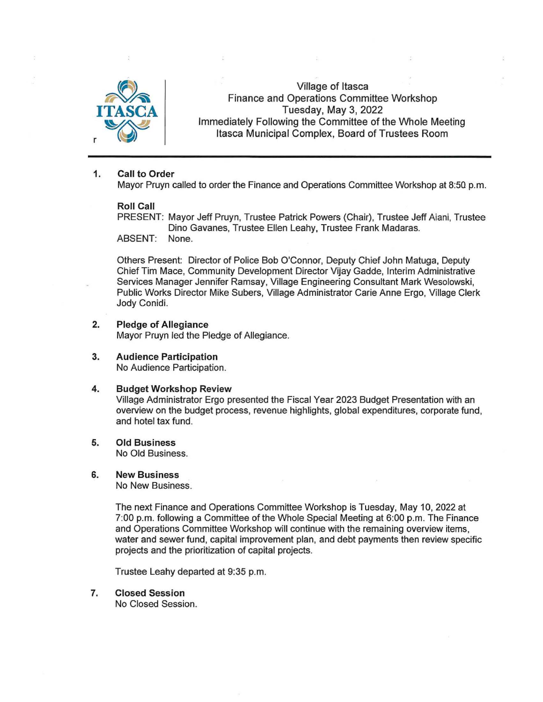

Village of Itasca Finance and Operations Committee Workshop Tuesday, May 3, 2022 Immediately Following the Committee of the Whole Meeting Itasca Municipal Complex, Board of Trustees Room

### 1. Call to Order

Mayor Pruyn called to order the Finance and Operations Committee Workshop at 8:50 p.m.

#### Roll Call

PRESENT: Mayor Jeff Pruyn, Trustee Patrick Powers (Chair), Trustee Jeff Aiani, Trustee Dino Gavanes, Trustee Ellen Leahy, Trustee Frank Madaras. ABSENT: None.

Others Present: Director of Police Bob O'Connor, Deputy Chief John Matuga, Deputy Chief Tim Mace, Community Development Director Vijay Gadde, Interim Administrative Services Manager Jennifer Ramsay, Village Engineering Consultant Mark Wesolowski, Public Works Director Mike Subers, Village Administrator Carie Anne Ergo, Village Clerk Jody Conidi.

## 2. Pledge of Allegiance Mayor Pruyn led the Pledge of Allegiance.

3. Audience Participation No Audience Participation.

#### 4. Budget Workshop Review

Village Administrator Ergo presented the Fiscal Year 2023 Budget Presentation with an overview on the budget process, revenue highlights, global expenditures, corporate fund, and hotel tax fund.

#### 5. Old Business No Old Business.

#### 6. New Business

No New Business.

The next Finance and Operations Committee Workshop is Tuesday, May 10, 2022 at 7:00 p.m. following a Committee of the Whole Special Meeting at 6:00 p.m. The Finance and Operations Committee Workshop will continue with the remaining overview items, water and sewer fund, capital improvement plan, and debt payments then review specific projects and the prioritization of capital projects.

Trustee Leahy departed at 9:35 p.m.

7. Closed Session

No Closed Session.